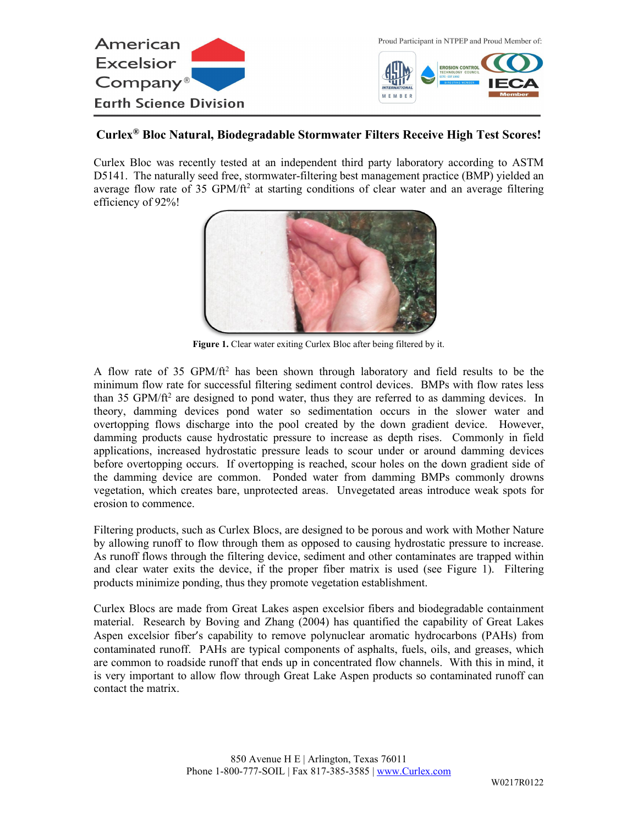

## **Curlex® Bloc Natural, Biodegradable Stormwater Filters Receive High Test Scores!**

Curlex Bloc was recently tested at an independent third party laboratory according to ASTM D5141. The naturally seed free, stormwater-filtering best management practice (BMP) yielded an average flow rate of 35 GPM/ft<sup>2</sup> at starting conditions of clear water and an average filtering efficiency of 92%!



**Figure 1.** Clear water exiting Curlex Bloc after being filtered by it.

A flow rate of 35 GPM/ft<sup>2</sup> has been shown through laboratory and field results to be the minimum flow rate for successful filtering sediment control devices. BMPs with flow rates less than 35 GPM/ $ft<sup>2</sup>$  are designed to pond water, thus they are referred to as damming devices. In theory, damming devices pond water so sedimentation occurs in the slower water and overtopping flows discharge into the pool created by the down gradient device. However, damming products cause hydrostatic pressure to increase as depth rises. Commonly in field applications, increased hydrostatic pressure leads to scour under or around damming devices before overtopping occurs. If overtopping is reached, scour holes on the down gradient side of the damming device are common. Ponded water from damming BMPs commonly drowns vegetation, which creates bare, unprotected areas. Unvegetated areas introduce weak spots for erosion to commence.

Filtering products, such as Curlex Blocs, are designed to be porous and work with Mother Nature by allowing runoff to flow through them as opposed to causing hydrostatic pressure to increase. As runoff flows through the filtering device, sediment and other contaminates are trapped within and clear water exits the device, if the proper fiber matrix is used (see Figure 1). Filtering products minimize ponding, thus they promote vegetation establishment.

Curlex Blocs are made from Great Lakes aspen excelsior fibers and biodegradable containment material. Research by Boving and Zhang (2004) has quantified the capability of Great Lakes Aspen excelsior fiber's capability to remove polynuclear aromatic hydrocarbons (PAHs) from contaminated runoff. PAHs are typical components of asphalts, fuels, oils, and greases, which are common to roadside runoff that ends up in concentrated flow channels. With this in mind, it is very important to allow flow through Great Lake Aspen products so contaminated runoff can contact the matrix.